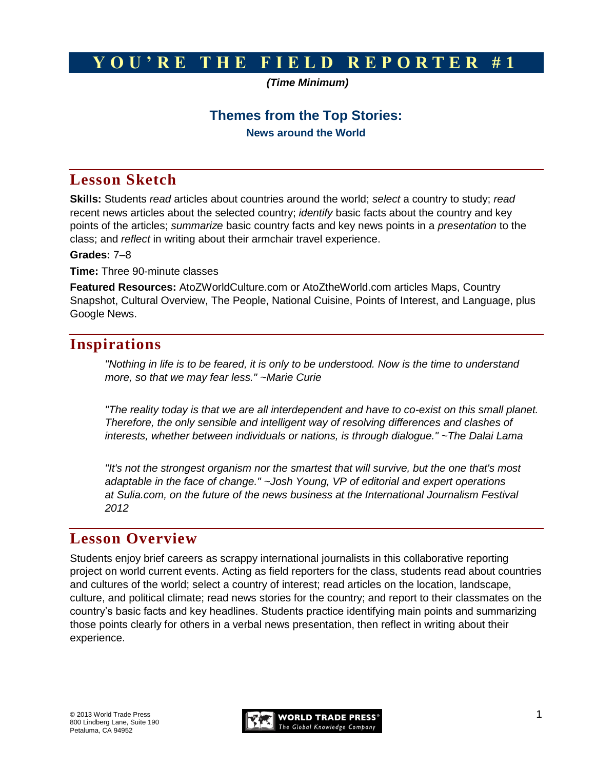# **Y O U ' R E T H E F I E L D R E P O R T E R # 1**

#### *(Time Minimum)*

### **Themes from the Top Stories:**

**News around the World**

# **Lesson Sketch**

**Skills:** Students *read* articles about countries around the world; *select* a country to study; *read* recent news articles about the selected country; *identify* basic facts about the country and key points of the articles; *summarize* basic country facts and key news points in a *presentation* to the class; and *reflect* in writing about their armchair travel experience.

#### **Grades:** 7–8

**Time:** Three 90-minute classes

**Featured Resources:** AtoZWorldCulture.com or AtoZtheWorld.com articles Maps, Country Snapshot, Cultural Overview, The People, National Cuisine, Points of Interest, and Language, plus Google News.

# **Inspirations**

*"Nothing in life is to be feared, it is only to be understood. Now is the time to understand more, so that we may fear less." ~Marie Curie*

*"The reality today is that we are all interdependent and have to co-exist on this small planet. Therefore, the only sensible and intelligent way of resolving differences and clashes of interests, whether between individuals or nations, is through dialogue." ~The Dalai Lama*

*"It's not the strongest organism nor the smartest that will survive, but the one that's most adaptable in the face of change." ~Josh Young, VP of editorial and expert operations at Sulia.com, on the future of the news business at the International Journalism Festival 2012*

# **Lesson Overview**

Students enjoy brief careers as scrappy international journalists in this collaborative reporting project on world current events. Acting as field reporters for the class, students read about countries and cultures of the world; select a country of interest; read articles on the location, landscape, culture, and political climate; read news stories for the country; and report to their classmates on the country's basic facts and key headlines. Students practice identifying main points and summarizing those points clearly for others in a verbal news presentation, then reflect in writing about their experience.

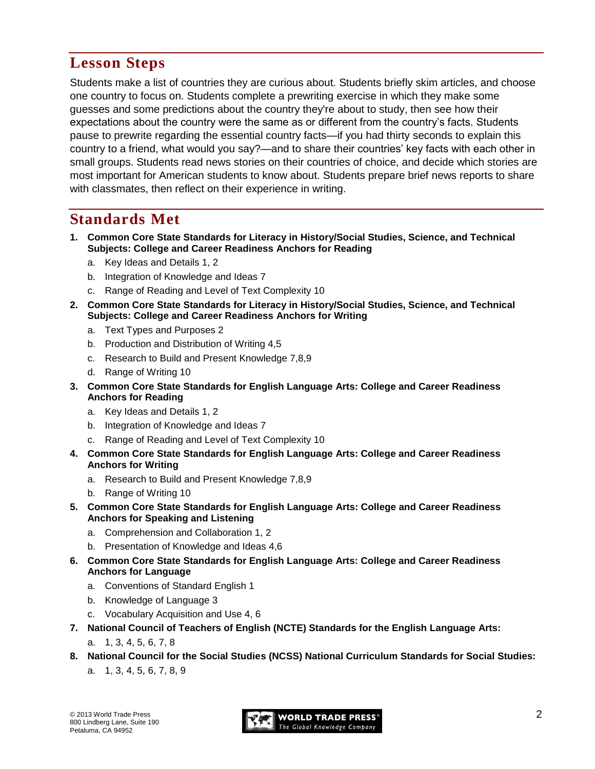# **Lesson Steps**

Students make a list of countries they are curious about. Students briefly skim articles, and choose one country to focus on. Students complete a prewriting exercise in which they make some guesses and some predictions about the country they're about to study, then see how their expectations about the country were the same as or different from the country's facts. Students pause to prewrite regarding the essential country facts—if you had thirty seconds to explain this country to a friend, what would you say?—and to share their countries' key facts with each other in small groups. Students read news stories on their countries of choice, and decide which stories are most important for American students to know about. Students prepare brief news reports to share with classmates, then reflect on their experience in writing.

# **Standards Met**

- **1. Common Core State Standards for Literacy in History/Social Studies, Science, and Technical Subjects: College and Career Readiness Anchors for Reading**
	- a. Key Ideas and Details 1, 2
	- b. Integration of Knowledge and Ideas 7
	- c. Range of Reading and Level of Text Complexity 10
- **2. Common Core State Standards for Literacy in History/Social Studies, Science, and Technical Subjects: College and Career Readiness Anchors for Writing**
	- a. Text Types and Purposes 2
	- b. Production and Distribution of Writing 4,5
	- c. Research to Build and Present Knowledge 7,8,9
	- d. Range of Writing 10
- **3. Common Core State Standards for English Language Arts: College and Career Readiness Anchors for Reading**
	- a. Key Ideas and Details 1, 2
	- b. Integration of Knowledge and Ideas 7
	- c. Range of Reading and Level of Text Complexity 10
- **4. Common Core State Standards for English Language Arts: College and Career Readiness Anchors for Writing**
	- a. Research to Build and Present Knowledge 7,8,9
	- b. Range of Writing 10
- **5. Common Core State Standards for English Language Arts: College and Career Readiness Anchors for Speaking and Listening**
	- a. Comprehension and Collaboration 1, 2
	- b. Presentation of Knowledge and Ideas 4,6
- **6. Common Core State Standards for English Language Arts: College and Career Readiness Anchors for Language**
	- a. Conventions of Standard English 1
	- b. Knowledge of Language 3
	- c. Vocabulary Acquisition and Use 4, 6
- **7. National Council of Teachers of English (NCTE) Standards for the English Language Arts:** 
	- a. 1, 3, 4, 5, 6, 7, 8
- **8. National Council for the Social Studies (NCSS) National Curriculum Standards for Social Studies:** 
	- a. 1, 3, 4, 5, 6, 7, 8, 9

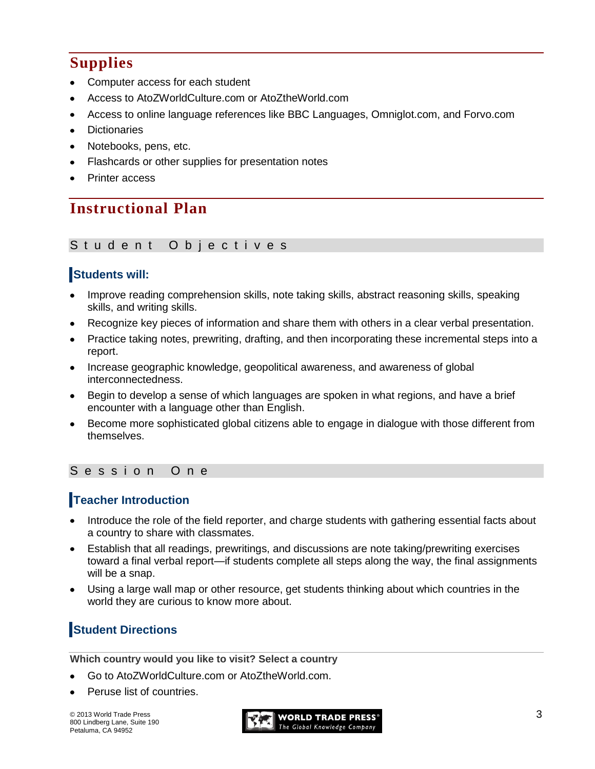# **Supplies**

- Computer access for each student
- Access to AtoZWorldCulture.com or AtoZtheWorld.com
- Access to online language references like BBC Languages, Omniglot.com, and Forvo.com
- **Dictionaries**
- Notebooks, pens, etc.
- Flashcards or other supplies for presentation notes
- Printer access

# **Instructional Plan**

#### Student Objectives

## **Students will:**

- Improve reading comprehension skills, note taking skills, abstract reasoning skills, speaking skills, and writing skills.
- Recognize key pieces of information and share them with others in a clear verbal presentation.
- Practice taking notes, prewriting, drafting, and then incorporating these incremental steps into a report.
- Increase geographic knowledge, geopolitical awareness, and awareness of global interconnectedness.
- Begin to develop a sense of which languages are spoken in what regions, and have a brief encounter with a language other than English.
- Become more sophisticated global citizens able to engage in dialogue with those different from themselves.

### Session One

## **Teacher Introduction**

- Introduce the role of the field reporter, and charge students with gathering essential facts about a country to share with classmates.
- Establish that all readings, prewritings, and discussions are note taking/prewriting exercises toward a final verbal report—if students complete all steps along the way, the final assignments will be a snap.
- Using a large wall map or other resource, get students thinking about which countries in the world they are curious to know more about.

# **Student Directions**

**Which country would you like to visit? Select a country**

- Go to AtoZWorldCulture.com or AtoZtheWorld.com.
- Peruse list of countries.

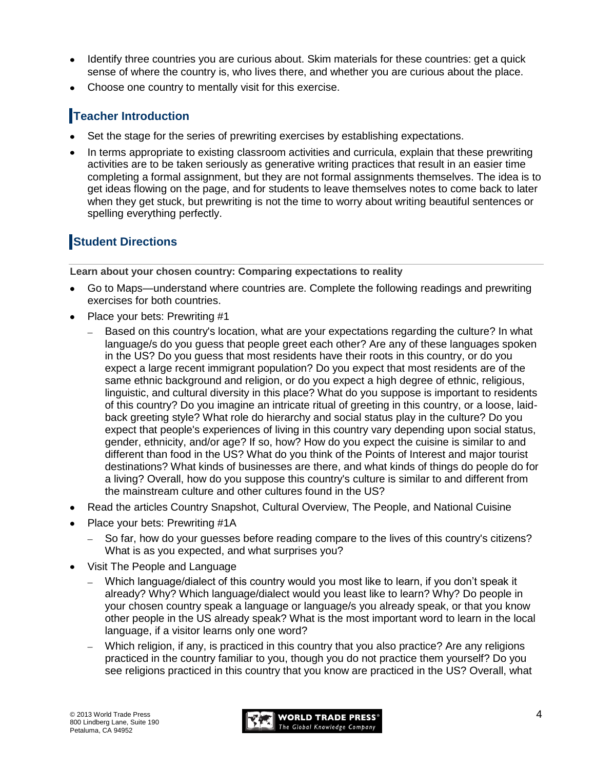- Identify three countries you are curious about. Skim materials for these countries: get a quick sense of where the country is, who lives there, and whether you are curious about the place.
- Choose one country to mentally visit for this exercise.

## **Teacher Introduction**

- Set the stage for the series of prewriting exercises by establishing expectations.
- In terms appropriate to existing classroom activities and curricula, explain that these prewriting activities are to be taken seriously as generative writing practices that result in an easier time completing a formal assignment, but they are not formal assignments themselves. The idea is to get ideas flowing on the page, and for students to leave themselves notes to come back to later when they get stuck, but prewriting is not the time to worry about writing beautiful sentences or spelling everything perfectly.

# **Student Directions**

**Learn about your chosen country: Comparing expectations to reality**

- Go to Maps—understand where countries are. Complete the following readings and prewriting exercises for both countries.
- Place your bets: Prewriting #1
	- Based on this country's location, what are your expectations regarding the culture? In what  $\equiv$ language/s do you guess that people greet each other? Are any of these languages spoken in the US? Do you guess that most residents have their roots in this country, or do you expect a large recent immigrant population? Do you expect that most residents are of the same ethnic background and religion, or do you expect a high degree of ethnic, religious, linguistic, and cultural diversity in this place? What do you suppose is important to residents of this country? Do you imagine an intricate ritual of greeting in this country, or a loose, laidback greeting style? What role do hierarchy and social status play in the culture? Do you expect that people's experiences of living in this country vary depending upon social status, gender, ethnicity, and/or age? If so, how? How do you expect the cuisine is similar to and different than food in the US? What do you think of the Points of Interest and major tourist destinations? What kinds of businesses are there, and what kinds of things do people do for a living? Overall, how do you suppose this country's culture is similar to and different from the mainstream culture and other cultures found in the US?
- Read the articles Country Snapshot, Cultural Overview, The People, and National Cuisine
- Place your bets: Prewriting #1A
	- So far, how do your guesses before reading compare to the lives of this country's citizens? What is as you expected, and what surprises you?
- Visit The People and Language
	- Which language/dialect of this country would you most like to learn, if you don't speak it already? Why? Which language/dialect would you least like to learn? Why? Do people in your chosen country speak a language or language/s you already speak, or that you know other people in the US already speak? What is the most important word to learn in the local language, if a visitor learns only one word?
	- Which religion, if any, is practiced in this country that you also practice? Are any religions practiced in the country familiar to you, though you do not practice them yourself? Do you see religions practiced in this country that you know are practiced in the US? Overall, what

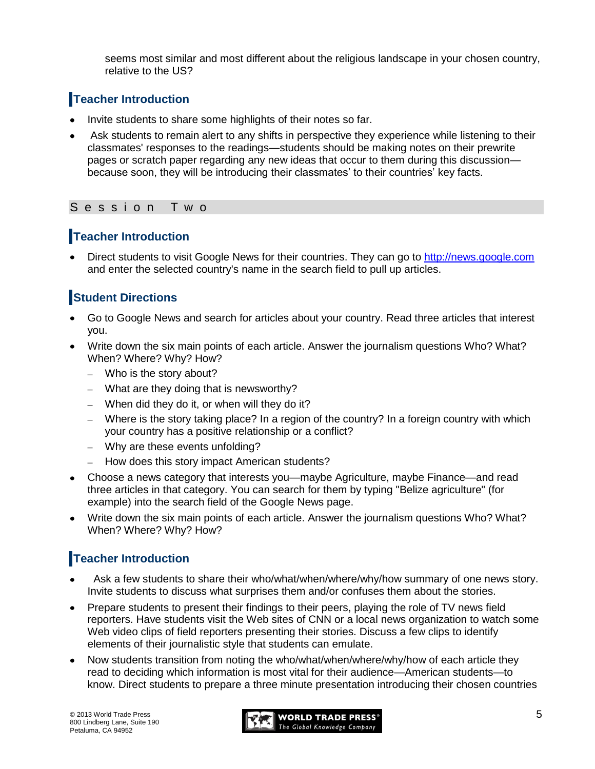seems most similar and most different about the religious landscape in your chosen country, relative to the US?

## **Teacher Introduction**

- Invite students to share some highlights of their notes so far.
- Ask students to remain alert to any shifts in perspective they experience while listening to their classmates' responses to the readings—students should be making notes on their prewrite pages or scratch paper regarding any new ideas that occur to them during this discussion because soon, they will be introducing their classmates' to their countries' key facts.

#### S e s s i o n T w o

### **Teacher Introduction**

Direct students to visit Google News for their countries. They can go to [http://news.google.com](http://news.google.com/) and enter the selected country's name in the search field to pull up articles.

## **Student Directions**

- Go to Google News and search for articles about your country. Read three articles that interest you.
- Write down the six main points of each article. Answer the journalism questions Who? What? When? Where? Why? How?
	- Who is the story about?
	- What are they doing that is newsworthy?
	- When did they do it, or when will they do it?
	- Where is the story taking place? In a region of the country? In a foreign country with which your country has a positive relationship or a conflict?
	- Why are these events unfolding?
	- How does this story impact American students?
- Choose a news category that interests you—maybe Agriculture, maybe Finance—and read  $\bullet$ three articles in that category. You can search for them by typing "Belize agriculture" (for example) into the search field of the Google News page.
- Write down the six main points of each article. Answer the journalism questions Who? What?  $\bullet$ When? Where? Why? How?

## **Teacher Introduction**

- Ask a few students to share their who/what/when/where/why/how summary of one news story. Invite students to discuss what surprises them and/or confuses them about the stories.
- Prepare students to present their findings to their peers, playing the role of TV news field reporters. Have students visit the Web sites of CNN or a local news organization to watch some Web video clips of field reporters presenting their stories. Discuss a few clips to identify elements of their journalistic style that students can emulate.
- Now students transition from noting the who/what/when/where/why/how of each article they read to deciding which information is most vital for their audience—American students—to know. Direct students to prepare a three minute presentation introducing their chosen countries

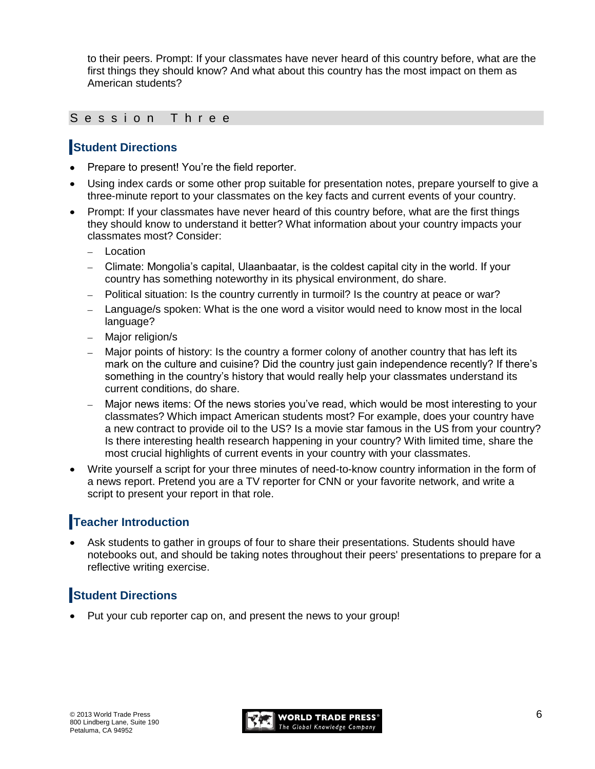to their peers. Prompt: If your classmates have never heard of this country before, what are the first things they should know? And what about this country has the most impact on them as American students?

#### Session Three

### **Student Directions**

- Prepare to present! You're the field reporter.
- Using index cards or some other prop suitable for presentation notes, prepare yourself to give a three-minute report to your classmates on the key facts and current events of your country.
- Prompt: If your classmates have never heard of this country before, what are the first things they should know to understand it better? What information about your country impacts your classmates most? Consider:
	- Location
	- Climate: Mongolia's capital, Ulaanbaatar, is the coldest capital city in the world. If your country has something noteworthy in its physical environment, do share.
	- Political situation: Is the country currently in turmoil? Is the country at peace or war?
	- Language/s spoken: What is the one word a visitor would need to know most in the local language?
	- Major religion/s
	- Major points of history: Is the country a former colony of another country that has left its mark on the culture and cuisine? Did the country just gain independence recently? If there's something in the country's history that would really help your classmates understand its current conditions, do share.
	- Major news items: Of the news stories you've read, which would be most interesting to your classmates? Which impact American students most? For example, does your country have a new contract to provide oil to the US? Is a movie star famous in the US from your country? Is there interesting health research happening in your country? With limited time, share the most crucial highlights of current events in your country with your classmates.
- Write yourself a script for your three minutes of need-to-know country information in the form of a news report. Pretend you are a TV reporter for CNN or your favorite network, and write a script to present your report in that role.

### **Teacher Introduction**

Ask students to gather in groups of four to share their presentations. Students should have notebooks out, and should be taking notes throughout their peers' presentations to prepare for a reflective writing exercise.

# **Student Directions**

Put your cub reporter cap on, and present the news to your group!